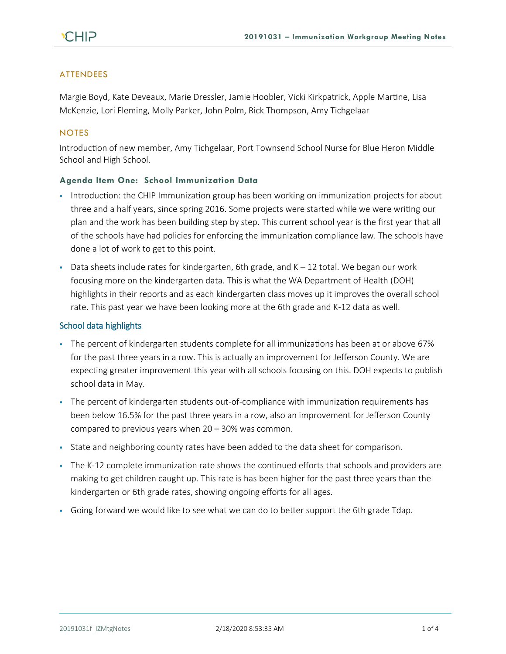# ATTENDEES

Margie Boyd, Kate Deveaux, Marie Dressler, Jamie Hoobler, Vicki Kirkpatrick, Apple Martine, Lisa McKenzie, Lori Fleming, Molly Parker, John Polm, Rick Thompson, Amy Tichgelaar

### **NOTES**

Introduction of new member, Amy Tichgelaar, Port Townsend School Nurse for Blue Heron Middle School and High School.

## **Agenda Item One: School Immunization Data**

- **•** Introduction: the CHIP Immunization group has been working on immunization projects for about three and a half years, since spring 2016. Some projects were started while we were writing our plan and the work has been building step by step. This current school year is the first year that all of the schools have had policies for enforcing the immunization compliance law. The schools have done a lot of work to get to this point.
- **•** Data sheets include rates for kindergarten, 6th grade, and  $K 12$  total. We began our work focusing more on the kindergarten data. This is what the WA Department of Health (DOH) highlights in their reports and as each kindergarten class moves up it improves the overall school rate. This past year we have been looking more at the 6th grade and K-12 data as well.

### School data highlights

- The percent of kindergarten students complete for all immunizations has been at or above 67% for the past three years in a row. This is actually an improvement for Jefferson County. We are expecting greater improvement this year with all schools focusing on this. DOH expects to publish school data in May.
- The percent of kindergarten students out-of-compliance with immunization requirements has been below 16.5% for the past three years in a row, also an improvement for Jefferson County compared to previous years when 20 – 30% was common.
- **·** State and neighboring county rates have been added to the data sheet for comparison.
- The K-12 complete immunization rate shows the continued efforts that schools and providers are making to get children caught up. This rate is has been higher for the past three years than the kindergarten or 6th grade rates, showing ongoing efforts for all ages.
- Going forward we would like to see what we can do to better support the 6th grade Tdap.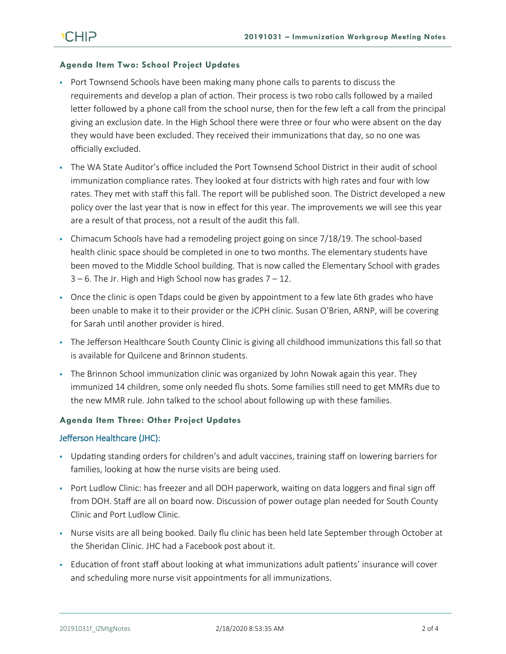### **Agenda Item Two: School Project Updates**

- **Port Townsend Schools have been making many phone calls to parents to discuss the** requirements and develop a plan of action. Their process is two robo calls followed by a mailed letter followed by a phone call from the school nurse, then for the few left a call from the principal giving an exclusion date. In the High School there were three or four who were absent on the day they would have been excluded. They received their immunizations that day, so no one was officially excluded.
- . The WA State Auditor's office included the Port Townsend School District in their audit of school immunization compliance rates. They looked at four districts with high rates and four with low rates. They met with staff this fall. The report will be published soon. The District developed a new policy over the last year that is now in effect for this year. The improvements we will see this year are a result of that process, not a result of the audit this fall.
- Chimacum Schools have had a remodeling project going on since 7/18/19. The school-based health clinic space should be completed in one to two months. The elementary students have been moved to the Middle School building. That is now called the Elementary School with grades  $3 - 6$ . The Jr. High and High School now has grades  $7 - 12$ .
- Once the clinic is open Tdaps could be given by appointment to a few late 6th grades who have been unable to make it to their provider or the JCPH clinic. Susan O'Brien, ARNP, will be covering for Sarah until another provider is hired.
- The Jefferson Healthcare South County Clinic is giving all childhood immunizations this fall so that is available for Quilcene and Brinnon students.
- The Brinnon School immunization clinic was organized by John Nowak again this year. They immunized 14 children, some only needed flu shots. Some families still need to get MMRs due to the new MMR rule. John talked to the school about following up with these families.

### **Agenda Item Three: Other Project Updates**

#### Jefferson Healthcare (JHC):

- Updating standing orders for children's and adult vaccines, training staff on lowering barriers for families, looking at how the nurse visits are being used.
- Port Ludlow Clinic: has freezer and all DOH paperwork, waiting on data loggers and final sign off from DOH. Staff are all on board now. Discussion of power outage plan needed for South County Clinic and Port Ludlow Clinic.
- Nurse visits are all being booked. Daily flu clinic has been held late September through October at the Sheridan Clinic. JHC had a Facebook post about it.
- Education of front staff about looking at what immunizations adult patients' insurance will cover and scheduling more nurse visit appointments for all immunizations.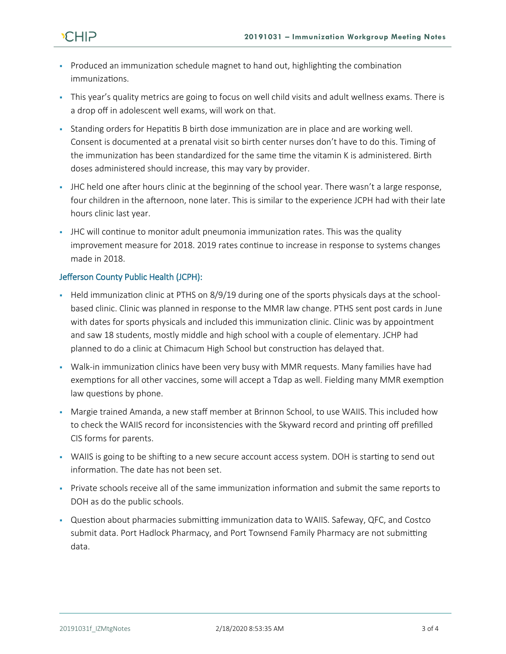

- Produced an immunization schedule magnet to hand out, highlighting the combination immunizations.
- This year's quality metrics are going to focus on well child visits and adult wellness exams. There is a drop off in adolescent well exams, will work on that.
- Standing orders for Hepatitis B birth dose immunization are in place and are working well. Consent is documented at a prenatal visit so birth center nurses don't have to do this. Timing of the immunization has been standardized for the same time the vitamin K is administered. Birth doses administered should increase, this may vary by provider.
- **•** JHC held one after hours clinic at the beginning of the school year. There wasn't a large response, four children in the afternoon, none later. This is similar to the experience JCPH had with their late hours clinic last year.
- **•** JHC will continue to monitor adult pneumonia immunization rates. This was the quality improvement measure for 2018. 2019 rates continue to increase in response to systems changes made in 2018.

# Jefferson County Public Health (JCPH):

- Held immunization clinic at PTHS on 8/9/19 during one of the sports physicals days at the schoolbased clinic. Clinic was planned in response to the MMR law change. PTHS sent post cards in June with dates for sports physicals and included this immunization clinic. Clinic was by appointment and saw 18 students, mostly middle and high school with a couple of elementary. JCHP had planned to do a clinic at Chimacum High School but construction has delayed that.
- Walk-in immunization clinics have been very busy with MMR requests. Many families have had exemptions for all other vaccines, some will accept a Tdap as well. Fielding many MMR exemption law questions by phone.
- **Margie trained Amanda, a new staff member at Brinnon School, to use WAIIS. This included how** to check the WAIIS record for inconsistencies with the Skyward record and printing off prefilled CIS forms for parents.
- WAIIS is going to be shifting to a new secure account access system. DOH is starting to send out information. The date has not been set.
- Private schools receive all of the same immunization information and submit the same reports to DOH as do the public schools.
- Question about pharmacies submitting immunization data to WAIIS. Safeway, QFC, and Costco submit data. Port Hadlock Pharmacy, and Port Townsend Family Pharmacy are not submitting data.